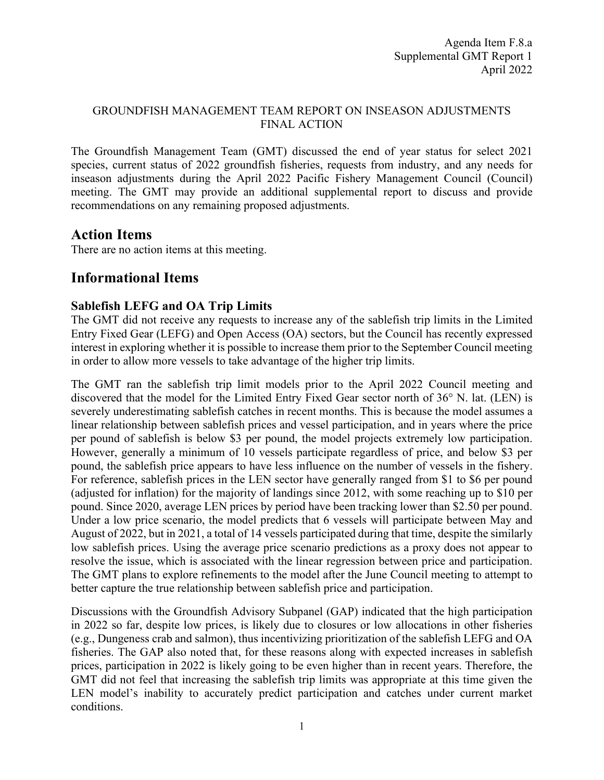## GROUNDFISH MANAGEMENT TEAM REPORT ON INSEASON ADJUSTMENTS FINAL ACTION

The Groundfish Management Team (GMT) discussed the end of year status for select 2021 species, current status of 2022 groundfish fisheries, requests from industry, and any needs for inseason adjustments during the April 2022 Pacific Fishery Management Council (Council) meeting. The GMT may provide an additional supplemental report to discuss and provide recommendations on any remaining proposed adjustments.

## **Action Items**

There are no action items at this meeting.

# **Informational Items**

## **Sablefish LEFG and OA Trip Limits**

The GMT did not receive any requests to increase any of the sablefish trip limits in the Limited Entry Fixed Gear (LEFG) and Open Access (OA) sectors, but the Council has recently expressed interest in exploring whether it is possible to increase them prior to the September Council meeting in order to allow more vessels to take advantage of the higher trip limits.

The GMT ran the sablefish trip limit models prior to the April 2022 Council meeting and discovered that the model for the Limited Entry Fixed Gear sector north of 36° N. lat. (LEN) is severely underestimating sablefish catches in recent months. This is because the model assumes a linear relationship between sablefish prices and vessel participation, and in years where the price per pound of sablefish is below \$3 per pound, the model projects extremely low participation. However, generally a minimum of 10 vessels participate regardless of price, and below \$3 per pound, the sablefish price appears to have less influence on the number of vessels in the fishery. For reference, sablefish prices in the LEN sector have generally ranged from \$1 to \$6 per pound (adjusted for inflation) for the majority of landings since 2012, with some reaching up to \$10 per pound. Since 2020, average LEN prices by period have been tracking lower than \$2.50 per pound. Under a low price scenario, the model predicts that 6 vessels will participate between May and August of 2022, but in 2021, a total of 14 vessels participated during that time, despite the similarly low sablefish prices. Using the average price scenario predictions as a proxy does not appear to resolve the issue, which is associated with the linear regression between price and participation. The GMT plans to explore refinements to the model after the June Council meeting to attempt to better capture the true relationship between sablefish price and participation.

Discussions with the Groundfish Advisory Subpanel (GAP) indicated that the high participation in 2022 so far, despite low prices, is likely due to closures or low allocations in other fisheries (e.g., Dungeness crab and salmon), thus incentivizing prioritization of the sablefish LEFG and OA fisheries. The GAP also noted that, for these reasons along with expected increases in sablefish prices, participation in 2022 is likely going to be even higher than in recent years. Therefore, the GMT did not feel that increasing the sablefish trip limits was appropriate at this time given the LEN model's inability to accurately predict participation and catches under current market conditions.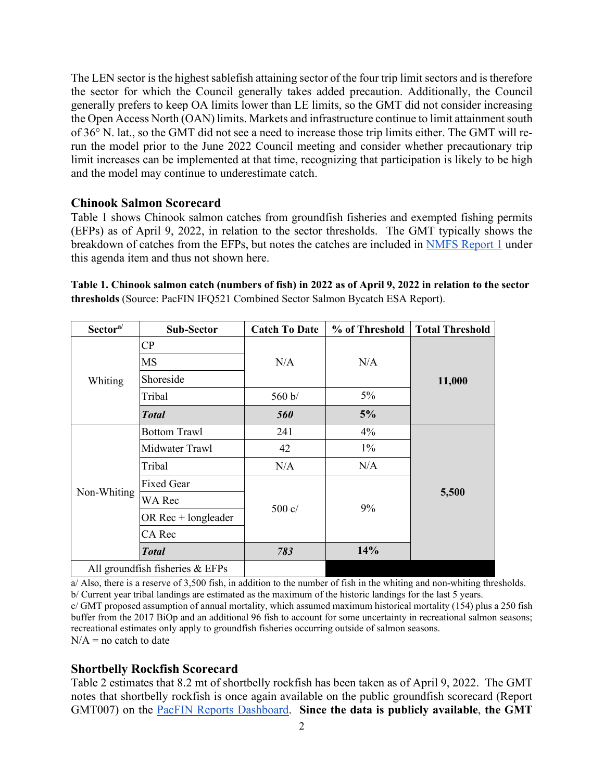The LEN sector is the highest sablefish attaining sector of the four trip limit sectors and is therefore the sector for which the Council generally takes added precaution. Additionally, the Council generally prefers to keep OA limits lower than LE limits, so the GMT did not consider increasing the Open Access North (OAN) limits. Markets and infrastructure continue to limit attainment south of 36° N. lat., so the GMT did not see a need to increase those trip limits either. The GMT will rerun the model prior to the June 2022 Council meeting and consider whether precautionary trip limit increases can be implemented at that time, recognizing that participation is likely to be high and the model may continue to underestimate catch.

#### **Chinook Salmon Scorecard**

Table 1 shows Chinook salmon catches from groundfish fisheries and exempted fishing permits (EFPs) as of April 9, 2022, in relation to the sector thresholds. The GMT typically shows the breakdown of catches from the EFPs, but notes the catches are included in [NMFS Report 1](https://www.pcouncil.org/documents/2022/03/f-8-a-supplemental-nmfs-report-1.pdf/) under this agenda item and thus not shown here.

**Table 1. Chinook salmon catch (numbers of fish) in 2022 as of April 9, 2022 in relation to the sector thresholds** (Source: PacFIN IFQ521 Combined Sector Salmon Bycatch ESA Report).

| Sector <sup>a/</sup>              | Sub-Sector             | <b>Catch To Date</b> | % of Threshold | <b>Total Threshold</b> |
|-----------------------------------|------------------------|----------------------|----------------|------------------------|
| Whiting                           | $\overline{\text{CP}}$ | N/A                  | N/A            | 11,000                 |
|                                   | <b>MS</b>              |                      |                |                        |
|                                   | Shoreside              |                      |                |                        |
|                                   | Tribal                 | 560 b/               | $5\%$          |                        |
|                                   | <b>Total</b>           | <b>560</b>           | 5%             |                        |
| Non-Whiting                       | <b>Bottom Trawl</b>    | 241                  | 4%             | 5,500                  |
|                                   | Midwater Trawl         | 42                   | $1\%$          |                        |
|                                   | Tribal                 | N/A                  | N/A            |                        |
|                                   | <b>Fixed Gear</b>      | $500 \text{ c}$      | 9%             |                        |
|                                   | WA Rec                 |                      |                |                        |
|                                   | OR $Rec + long leader$ |                      |                |                        |
|                                   | CA Rec                 |                      |                |                        |
|                                   | <b>Total</b>           | 783                  | 14%            |                        |
| All groundfish fisheries $& EFPs$ |                        |                      |                |                        |

a/ Also, there is a reserve of 3,500 fish, in addition to the number of fish in the whiting and non-whiting thresholds. b/ Current year tribal landings are estimated as the maximum of the historic landings for the last 5 years. c/ GMT proposed assumption of annual mortality, which assumed maximum historical mortality (154) plus a 250 fish buffer from the 2017 BiOp and an additional 96 fish to account for some uncertainty in recreational salmon seasons; recreational estimates only apply to groundfish fisheries occurring outside of salmon seasons.  $N/A$  = no catch to date

## **Shortbelly Rockfish Scorecard**

Table 2 estimates that 8.2 mt of shortbelly rockfish has been taken as of April 9, 2022. The GMT notes that shortbelly rockfish is once again available on the public groundfish scorecard (Report GMT007) on the [PacFIN Reports Dashboard.](https://reports.psmfc.org/pacfin/f?p=501:1000:) **Since the data is publicly available**, **the GMT**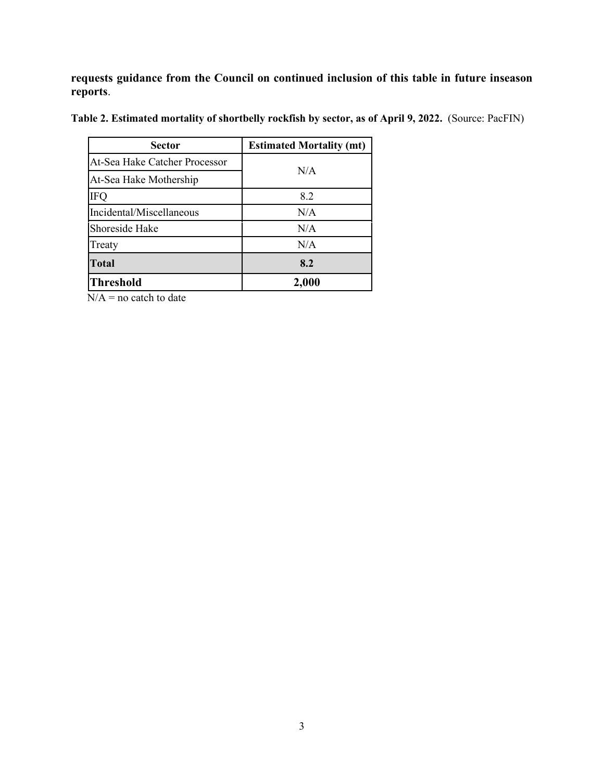**requests guidance from the Council on continued inclusion of this table in future inseason reports**.

Table 2. Estimated mortality of shortbelly rockfish by sector, as of April 9, 2022. (Source: PacFIN)

| Sector                        | <b>Estimated Mortality (mt)</b> |  |
|-------------------------------|---------------------------------|--|
| At-Sea Hake Catcher Processor | N/A                             |  |
| At-Sea Hake Mothership        |                                 |  |
| <b>IFQ</b>                    | 8.2                             |  |
| Incidental/Miscellaneous      | N/A                             |  |
| Shoreside Hake                | N/A                             |  |
| Treaty                        | N/A                             |  |
| <b>Total</b>                  | 8.2                             |  |
| <b>Threshold</b>              | 2,000                           |  |

 $N/A$  = no catch to date